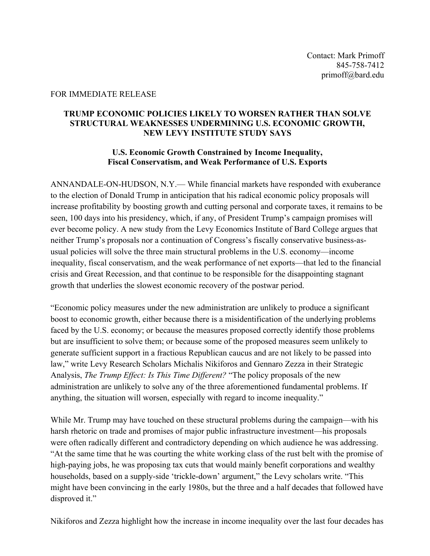## FOR IMMEDIATE RELEASE

## **TRUMP ECONOMIC POLICIES LIKELY TO WORSEN RATHER THAN SOLVE STRUCTURAL WEAKNESSES UNDERMINING U.S. ECONOMIC GROWTH, NEW LEVY INSTITUTE STUDY SAYS**

## **U.S. Economic Growth Constrained by Income Inequality, Fiscal Conservatism, and Weak Performance of U.S. Exports**

ANNANDALE-ON-HUDSON, N.Y.— While financial markets have responded with exuberance to the election of Donald Trump in anticipation that his radical economic policy proposals will increase profitability by boosting growth and cutting personal and corporate taxes, it remains to be seen, 100 days into his presidency, which, if any, of President Trump's campaign promises will ever become policy. A new study from the Levy Economics Institute of Bard College argues that neither Trump's proposals nor a continuation of Congress's fiscally conservative business-asusual policies will solve the three main structural problems in the U.S. economy—income inequality, fiscal conservatism, and the weak performance of net exports—that led to the financial crisis and Great Recession, and that continue to be responsible for the disappointing stagnant growth that underlies the slowest economic recovery of the postwar period.

"Economic policy measures under the new administration are unlikely to produce a significant boost to economic growth, either because there is a misidentification of the underlying problems faced by the U.S. economy; or because the measures proposed correctly identify those problems but are insufficient to solve them; or because some of the proposed measures seem unlikely to generate sufficient support in a fractious Republican caucus and are not likely to be passed into law," write Levy Research Scholars Michalis Nikiforos and Gennaro Zezza in their Strategic Analysis, *The Trump Effect: Is This Time Different?* "The policy proposals of the new administration are unlikely to solve any of the three aforementioned fundamental problems. If anything, the situation will worsen, especially with regard to income inequality."

While Mr. Trump may have touched on these structural problems during the campaign—with his harsh rhetoric on trade and promises of major public infrastructure investment—his proposals were often radically different and contradictory depending on which audience he was addressing. "At the same time that he was courting the white working class of the rust belt with the promise of high-paying jobs, he was proposing tax cuts that would mainly benefit corporations and wealthy households, based on a supply-side 'trickle-down' argument," the Levy scholars write. "This might have been convincing in the early 1980s, but the three and a half decades that followed have disproved it."

Nikiforos and Zezza highlight how the increase in income inequality over the last four decades has